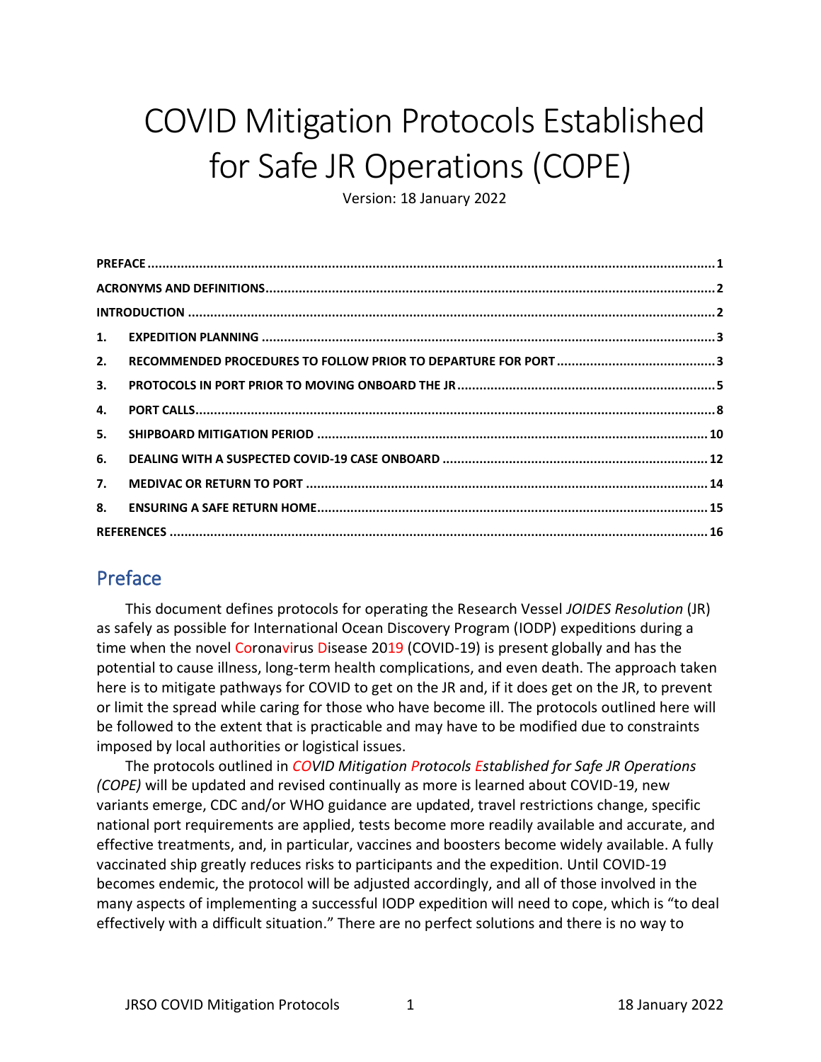# COVID Mitigation Protocols Established for Safe JR Operations (COPE)

Version: 18 January 2022

| 2. |  |  |
|----|--|--|
| 3. |  |  |
| 4. |  |  |
| 5. |  |  |
| 6. |  |  |
| 7. |  |  |
| 8. |  |  |
|    |  |  |

#### <span id="page-0-0"></span>Preface

This document defines protocols for operating the Research Vessel *JOIDES Resolution* (JR) as safely as possible for International Ocean Discovery Program (IODP) expeditions during a time when the novel Coronavirus Disease 2019 (COVID-19) is present globally and has the potential to cause illness, long-term health complications, and even death. The approach taken here is to mitigate pathways for COVID to get on the JR and, if it does get on the JR, to prevent or limit the spread while caring for those who have become ill. The protocols outlined here will be followed to the extent that is practicable and may have to be modified due to constraints imposed by local authorities or logistical issues.

The protocols outlined in *COVID Mitigation Protocols Established for Safe JR Operations (COPE)* will be updated and revised continually as more is learned about COVID-19, new variants emerge, CDC and/or WHO guidance are updated, travel restrictions change, specific national port requirements are applied, tests become more readily available and accurate, and effective treatments, and, in particular, vaccines and boosters become widely available. A fully vaccinated ship greatly reduces risks to participants and the expedition. Until COVID-19 becomes endemic, the protocol will be adjusted accordingly, and all of those involved in the many aspects of implementing a successful IODP expedition will need to cope, which is "to deal effectively with a difficult situation." There are no perfect solutions and there is no way to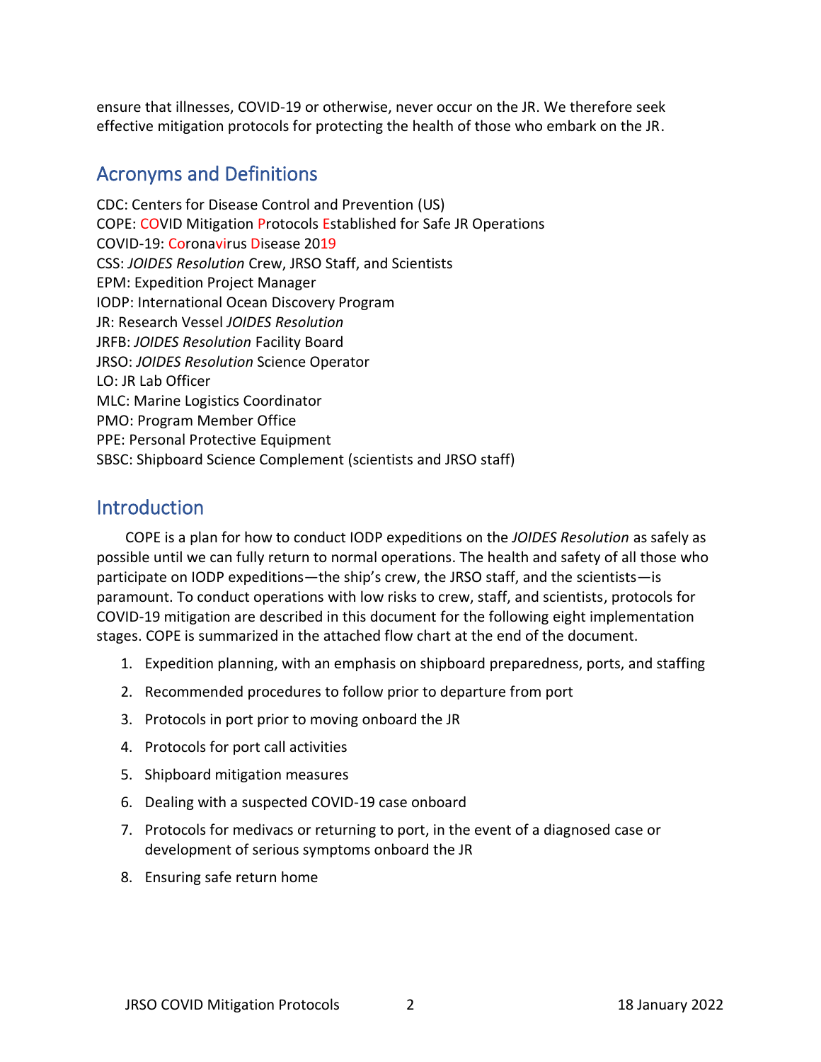ensure that illnesses, COVID-19 or otherwise, never occur on the JR. We therefore seek effective mitigation protocols for protecting the health of those who embark on the JR.

#### <span id="page-1-0"></span>Acronyms and Definitions

CDC: Centers for Disease Control and Prevention (US) COPE: COVID Mitigation Protocols Established for Safe JR Operations COVID-19: Coronavirus Disease 2019 CSS: *JOIDES Resolution* Crew, JRSO Staff, and Scientists EPM: Expedition Project Manager IODP: International Ocean Discovery Program JR: Research Vessel *JOIDES Resolution* JRFB: *JOIDES Resolution* Facility Board JRSO: *JOIDES Resolution* Science Operator LO: JR Lab Officer MLC: Marine Logistics Coordinator PMO: Program Member Office PPE: Personal Protective Equipment SBSC: Shipboard Science Complement (scientists and JRSO staff)

#### <span id="page-1-1"></span>Introduction

COPE is a plan for how to conduct IODP expeditions on the *JOIDES Resolution* as safely as possible until we can fully return to normal operations. The health and safety of all those who participate on IODP expeditions—the ship's crew, the JRSO staff, and the scientists—is paramount. To conduct operations with low risks to crew, staff, and scientists, protocols for COVID-19 mitigation are described in this document for the following eight implementation stages. COPE is summarized in the attached flow chart at the end of the document.

- 1. Expedition planning, with an emphasis on shipboard preparedness, ports, and staffing
- 2. Recommended procedures to follow prior to departure from port
- 3. Protocols in port prior to moving onboard the JR
- 4. Protocols for port call activities
- 5. Shipboard mitigation measures
- 6. Dealing with a suspected COVID-19 case onboard
- 7. Protocols for medivacs or returning to port, in the event of a diagnosed case or development of serious symptoms onboard the JR
- 8. Ensuring safe return home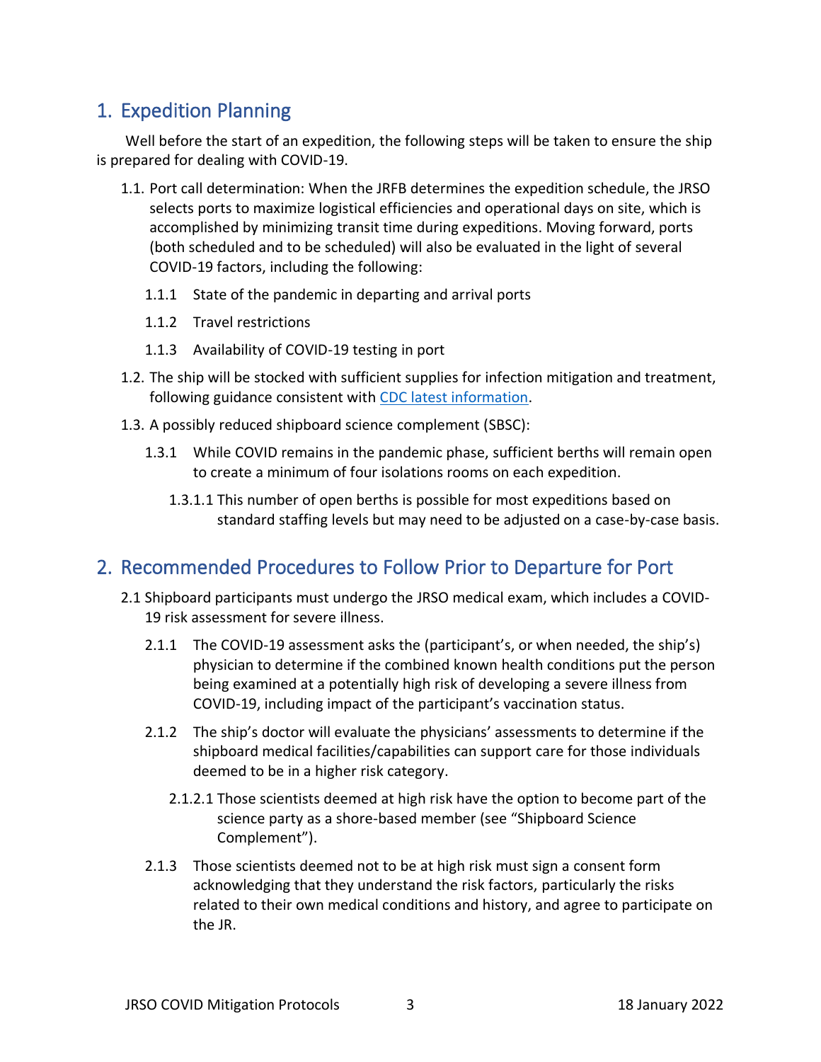# <span id="page-2-0"></span>1. Expedition Planning

Well before the start of an expedition, the following steps will be taken to ensure the ship is prepared for dealing with COVID-19.

- 1.1. Port call determination: When the JRFB determines the expedition schedule, the JRSO selects ports to maximize logistical efficiencies and operational days on site, which is accomplished by minimizing transit time during expeditions. Moving forward, ports (both scheduled and to be scheduled) will also be evaluated in the light of several COVID-19 factors, including the following:
	- 1.1.1 State of the pandemic in departing and arrival ports
	- 1.1.2 Travel restrictions
	- 1.1.3 Availability of COVID-19 testing in port
- 1.2. The ship will be stocked with sufficient supplies for infection mitigation and treatment, following guidance consistent with [CDC latest information.](https://www.cdc.gov/coronavirus/2019-ncov/hcp/ppe-strategy/index.html)
- 1.3. A possibly reduced shipboard science complement (SBSC):
	- 1.3.1 While COVID remains in the pandemic phase, sufficient berths will remain open to create a minimum of four isolations rooms on each expedition.
		- 1.3.1.1 This number of open berths is possible for most expeditions based on standard staffing levels but may need to be adjusted on a case-by-case basis.

#### <span id="page-2-1"></span>2. Recommended Procedures to Follow Prior to Departure for Port

- 2.1 Shipboard participants must undergo the JRSO medical exam, which includes a COVID-19 risk assessment for severe illness.
	- 2.1.1 The COVID-19 assessment asks the (participant's, or when needed, the ship's) physician to determine if the combined known health conditions put the person being examined at a potentially high risk of developing a severe illness from COVID-19, including impact of the participant's vaccination status.
	- 2.1.2 The ship's doctor will evaluate the physicians' assessments to determine if the shipboard medical facilities/capabilities can support care for those individuals deemed to be in a higher risk category.
		- 2.1.2.1 Those scientists deemed at high risk have the option to become part of the science party as a shore-based member (see "Shipboard Science Complement").
	- 2.1.3 Those scientists deemed not to be at high risk must sign a consent form acknowledging that they understand the risk factors, particularly the risks related to their own medical conditions and history, and agree to participate on the JR.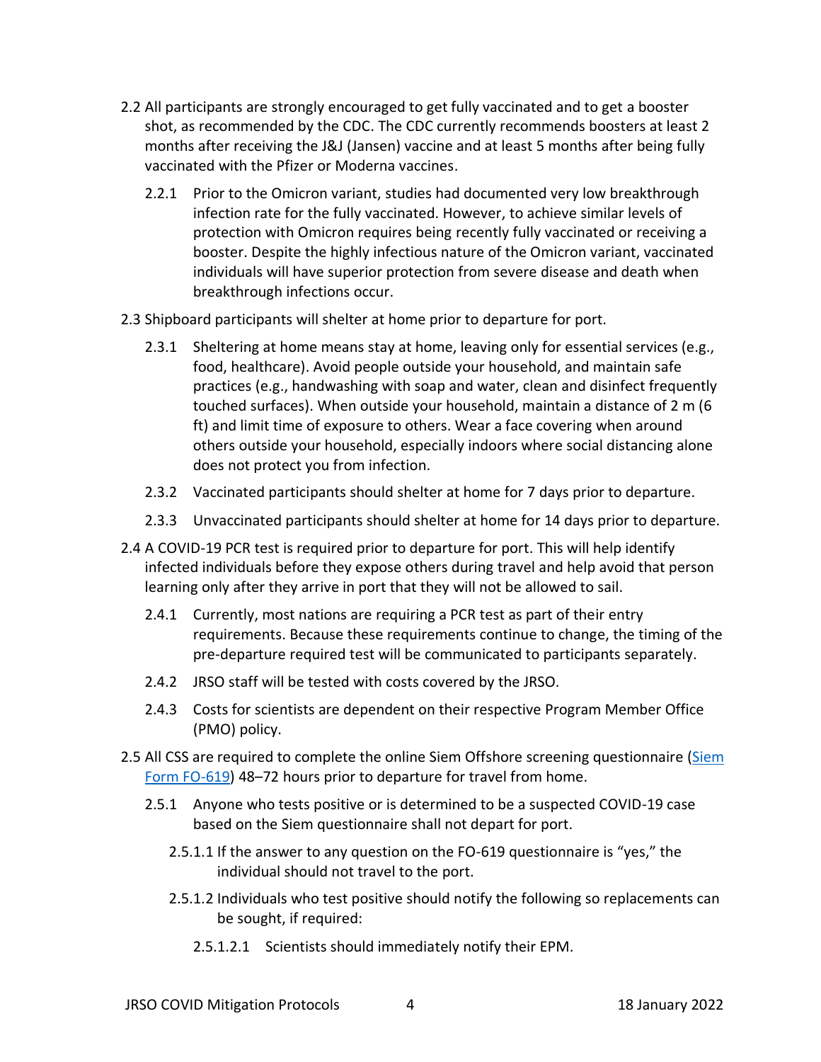- 2.2 All participants are strongly encouraged to get fully vaccinated and to get a booster shot, as recommended by the CDC. The CDC currently recommends boosters at least 2 months after receiving the J&J (Jansen) vaccine and at least 5 months after being fully vaccinated with the Pfizer or Moderna vaccines.
	- 2.2.1 Prior to the Omicron variant, studies had documented very low breakthrough infection rate for the fully vaccinated. However, to achieve similar levels of protection with Omicron requires being recently fully vaccinated or receiving a booster. Despite the highly infectious nature of the Omicron variant, vaccinated individuals will have superior protection from severe disease and death when breakthrough infections occur.
- 2.3 Shipboard participants will shelter at home prior to departure for port.
	- 2.3.1 Sheltering at home means stay at home, leaving only for essential services (e.g., food, healthcare). Avoid people outside your household, and maintain safe practices (e.g., handwashing with soap and water, clean and disinfect frequently touched surfaces). When outside your household, maintain a distance of 2 m (6 ft) and limit time of exposure to others. Wear a face covering when around others outside your household, especially indoors where social distancing alone does not protect you from infection.
	- 2.3.2 Vaccinated participants should shelter at home for 7 days prior to departure.
	- 2.3.3 Unvaccinated participants should shelter at home for 14 days prior to departure.
- 2.4 A COVID-19 PCR test is required prior to departure for port. This will help identify infected individuals before they expose others during travel and help avoid that person learning only after they arrive in port that they will not be allowed to sail.
	- 2.4.1 Currently, most nations are requiring a PCR test as part of their entry requirements. Because these requirements continue to change, the timing of the pre-departure required test will be communicated to participants separately.
	- 2.4.2 JRSO staff will be tested with costs covered by the JRSO.
	- 2.4.3 Costs for scientists are dependent on their respective Program Member Office (PMO) policy.
- 2.5 All CSS are required to complete the online Siem Offshore screening questionnaire (Siem [Form FO-619\)](https://forms.office.com/r/e8kejF9fCt) 48–72 hours prior to departure for travel from home.
	- 2.5.1 Anyone who tests positive or is determined to be a suspected COVID-19 case based on the Siem questionnaire shall not depart for port.
		- 2.5.1.1 If the answer to any question on the FO-619 questionnaire is "yes," the individual should not travel to the port.
		- 2.5.1.2 Individuals who test positive should notify the following so replacements can be sought, if required:
			- 2.5.1.2.1 Scientists should immediately notify their EPM.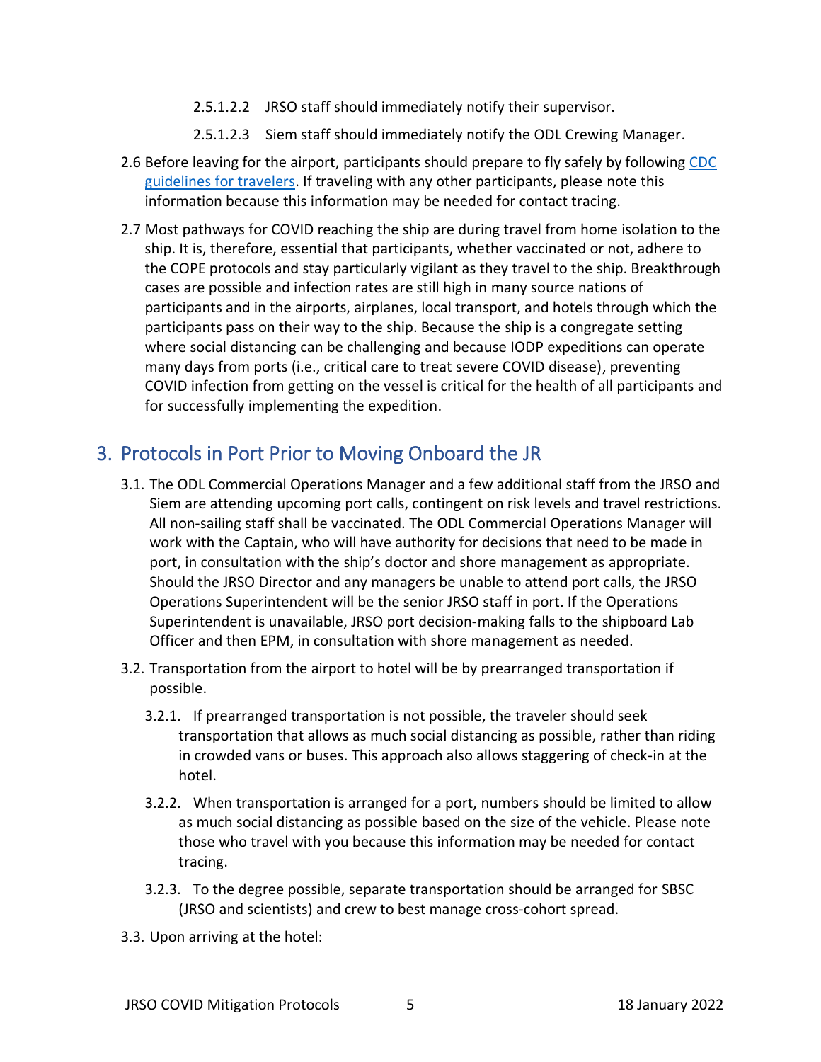- 2.5.1.2.2 JRSO staff should immediately notify their supervisor.
- 2.5.1.2.3 Siem staff should immediately notify the ODL Crewing Manager.
- 2.6 Before leaving for the airport, participants should prepare to fly safely by following CDC [guidelines for travelers.](https://www.cdc.gov/coronavirus/2019-ncov/travelers/index.html) If traveling with any other participants, please note this information because this information may be needed for contact tracing.
- 2.7 Most pathways for COVID reaching the ship are during travel from home isolation to the ship. It is, therefore, essential that participants, whether vaccinated or not, adhere to the COPE protocols and stay particularly vigilant as they travel to the ship. Breakthrough cases are possible and infection rates are still high in many source nations of participants and in the airports, airplanes, local transport, and hotels through which the participants pass on their way to the ship. Because the ship is a congregate setting where social distancing can be challenging and because IODP expeditions can operate many days from ports (i.e., critical care to treat severe COVID disease), preventing COVID infection from getting on the vessel is critical for the health of all participants and for successfully implementing the expedition.

# <span id="page-4-0"></span>3. Protocols in Port Prior to Moving Onboard the JR

- 3.1. The ODL Commercial Operations Manager and a few additional staff from the JRSO and Siem are attending upcoming port calls, contingent on risk levels and travel restrictions. All non-sailing staff shall be vaccinated. The ODL Commercial Operations Manager will work with the Captain, who will have authority for decisions that need to be made in port, in consultation with the ship's doctor and shore management as appropriate. Should the JRSO Director and any managers be unable to attend port calls, the JRSO Operations Superintendent will be the senior JRSO staff in port. If the Operations Superintendent is unavailable, JRSO port decision-making falls to the shipboard Lab Officer and then EPM, in consultation with shore management as needed.
- 3.2. Transportation from the airport to hotel will be by prearranged transportation if possible.
	- 3.2.1. If prearranged transportation is not possible, the traveler should seek transportation that allows as much social distancing as possible, rather than riding in crowded vans or buses. This approach also allows staggering of check-in at the hotel.
	- 3.2.2. When transportation is arranged for a port, numbers should be limited to allow as much social distancing as possible based on the size of the vehicle. Please note those who travel with you because this information may be needed for contact tracing.
	- 3.2.3. To the degree possible, separate transportation should be arranged for SBSC (JRSO and scientists) and crew to best manage cross-cohort spread.
- 3.3. Upon arriving at the hotel: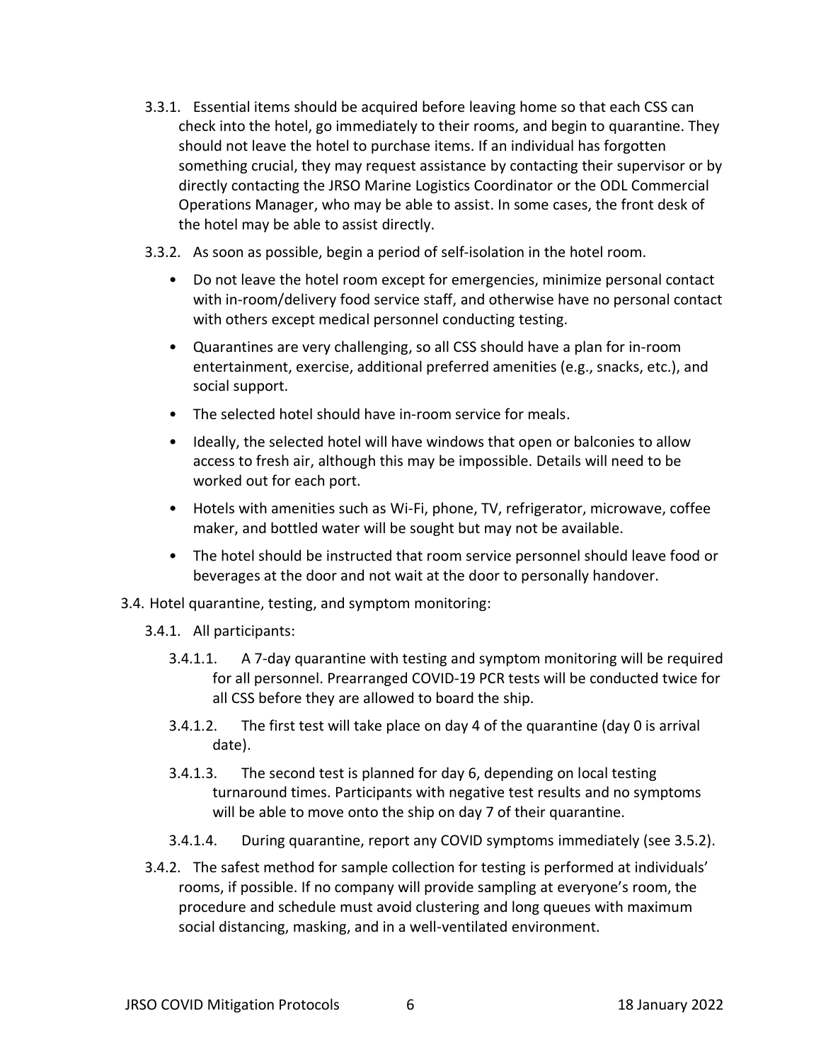- 3.3.1. Essential items should be acquired before leaving home so that each CSS can check into the hotel, go immediately to their rooms, and begin to quarantine. They should not leave the hotel to purchase items. If an individual has forgotten something crucial, they may request assistance by contacting their supervisor or by directly contacting the JRSO Marine Logistics Coordinator or the ODL Commercial Operations Manager, who may be able to assist. In some cases, the front desk of the hotel may be able to assist directly.
- 3.3.2. As soon as possible, begin a period of self-isolation in the hotel room.
	- Do not leave the hotel room except for emergencies, minimize personal contact with in-room/delivery food service staff, and otherwise have no personal contact with others except medical personnel conducting testing.
	- Quarantines are very challenging, so all CSS should have a plan for in-room entertainment, exercise, additional preferred amenities (e.g., snacks, etc.), and social support.
	- The selected hotel should have in-room service for meals.
	- Ideally, the selected hotel will have windows that open or balconies to allow access to fresh air, although this may be impossible. Details will need to be worked out for each port.
	- Hotels with amenities such as Wi-Fi, phone, TV, refrigerator, microwave, coffee maker, and bottled water will be sought but may not be available.
	- The hotel should be instructed that room service personnel should leave food or beverages at the door and not wait at the door to personally handover.
- 3.4. Hotel quarantine, testing, and symptom monitoring:
	- 3.4.1. All participants:
		- 3.4.1.1. A 7-day quarantine with testing and symptom monitoring will be required for all personnel. Prearranged COVID-19 PCR tests will be conducted twice for all CSS before they are allowed to board the ship.
		- 3.4.1.2. The first test will take place on day 4 of the quarantine (day 0 is arrival date).
		- 3.4.1.3. The second test is planned for day 6, depending on local testing turnaround times. Participants with negative test results and no symptoms will be able to move onto the ship on day 7 of their quarantine.
		- 3.4.1.4. During quarantine, report any COVID symptoms immediately (see 3.5.2).
	- 3.4.2. The safest method for sample collection for testing is performed at individuals' rooms, if possible. If no company will provide sampling at everyone's room, the procedure and schedule must avoid clustering and long queues with maximum social distancing, masking, and in a well-ventilated environment.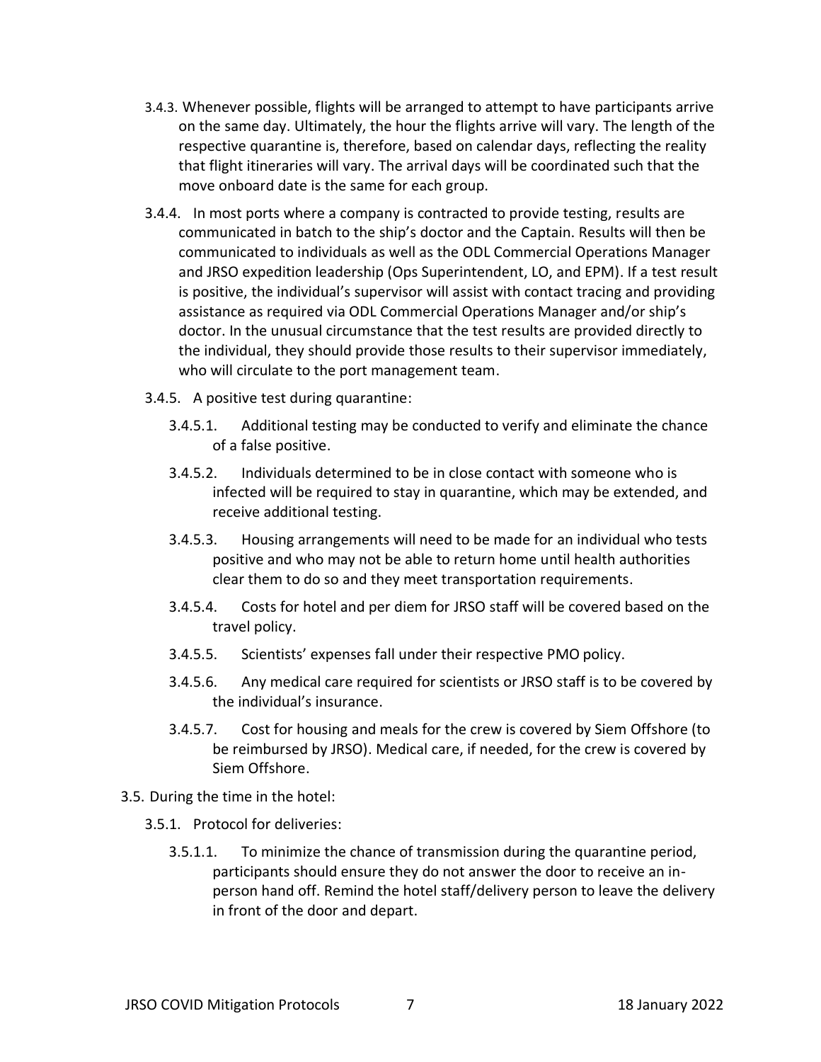- 3.4.3. Whenever possible, flights will be arranged to attempt to have participants arrive on the same day. Ultimately, the hour the flights arrive will vary. The length of the respective quarantine is, therefore, based on calendar days, reflecting the reality that flight itineraries will vary. The arrival days will be coordinated such that the move onboard date is the same for each group.
- 3.4.4. In most ports where a company is contracted to provide testing, results are communicated in batch to the ship's doctor and the Captain. Results will then be communicated to individuals as well as the ODL Commercial Operations Manager and JRSO expedition leadership (Ops Superintendent, LO, and EPM). If a test result is positive, the individual's supervisor will assist with contact tracing and providing assistance as required via ODL Commercial Operations Manager and/or ship's doctor. In the unusual circumstance that the test results are provided directly to the individual, they should provide those results to their supervisor immediately, who will circulate to the port management team.
- 3.4.5. A positive test during quarantine:
	- 3.4.5.1. Additional testing may be conducted to verify and eliminate the chance of a false positive.
	- 3.4.5.2. Individuals determined to be in close contact with someone who is infected will be required to stay in quarantine, which may be extended, and receive additional testing.
	- 3.4.5.3. Housing arrangements will need to be made for an individual who tests positive and who may not be able to return home until health authorities clear them to do so and they meet transportation requirements.
	- 3.4.5.4. Costs for hotel and per diem for JRSO staff will be covered based on the travel policy.
	- 3.4.5.5. Scientists' expenses fall under their respective PMO policy.
	- 3.4.5.6. Any medical care required for scientists or JRSO staff is to be covered by the individual's insurance.
	- 3.4.5.7. Cost for housing and meals for the crew is covered by Siem Offshore (to be reimbursed by JRSO). Medical care, if needed, for the crew is covered by Siem Offshore.
- 3.5. During the time in the hotel:
	- 3.5.1. Protocol for deliveries:
		- 3.5.1.1. To minimize the chance of transmission during the quarantine period, participants should ensure they do not answer the door to receive an inperson hand off. Remind the hotel staff/delivery person to leave the delivery in front of the door and depart.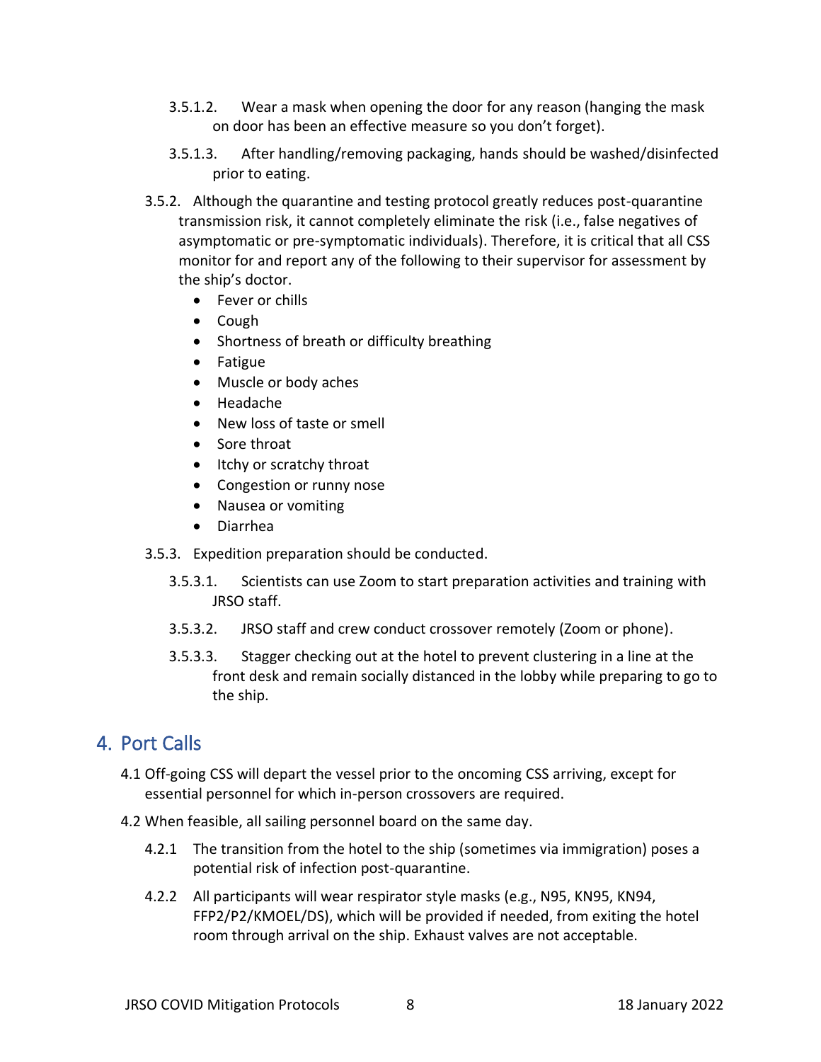- 3.5.1.2. Wear a mask when opening the door for any reason (hanging the mask on door has been an effective measure so you don't forget).
- 3.5.1.3. After handling/removing packaging, hands should be washed/disinfected prior to eating.
- 3.5.2. Although the quarantine and testing protocol greatly reduces post-quarantine transmission risk, [it cannot completely eliminate the risk](https://www.cdc.gov/coronavirus/2019-ncov/more/scientific-brief-options-to-reduce-quarantine.html) (i.e., false negatives of asymptomatic or pre-symptomatic individuals). Therefore, it is critical that all CSS monitor for and report any of the following to their supervisor for assessment by the ship's doctor.
	- Fever or chills
	- Cough
	- Shortness of breath or difficulty breathing
	- Fatigue
	- Muscle or body aches
	- Headache
	- New loss of taste or smell
	- Sore throat
	- Itchy or scratchy throat
	- Congestion or runny nose
	- Nausea or vomiting
	- Diarrhea
- 3.5.3. Expedition preparation should be conducted.
	- 3.5.3.1. Scientists can use Zoom to start preparation activities and training with JRSO staff.
	- 3.5.3.2. JRSO staff and crew conduct crossover remotely (Zoom or phone).
	- 3.5.3.3. Stagger checking out at the hotel to prevent clustering in a line at the front desk and remain socially distanced in the lobby while preparing to go to the ship.

# <span id="page-7-0"></span>4. Port Calls

- 4.1 Off-going CSS will depart the vessel prior to the oncoming CSS arriving, except for essential personnel for which in-person crossovers are required.
- 4.2 When feasible, all sailing personnel board on the same day.
	- 4.2.1 The transition from the hotel to the ship (sometimes via immigration) poses a potential risk of infection post-quarantine.
	- 4.2.2 All participants will wear respirator style masks (e.g., N95, KN95, KN94, FFP2/P2/KMOEL/DS), which will be provided if needed, from exiting the hotel room through arrival on the ship. Exhaust valves are not acceptable.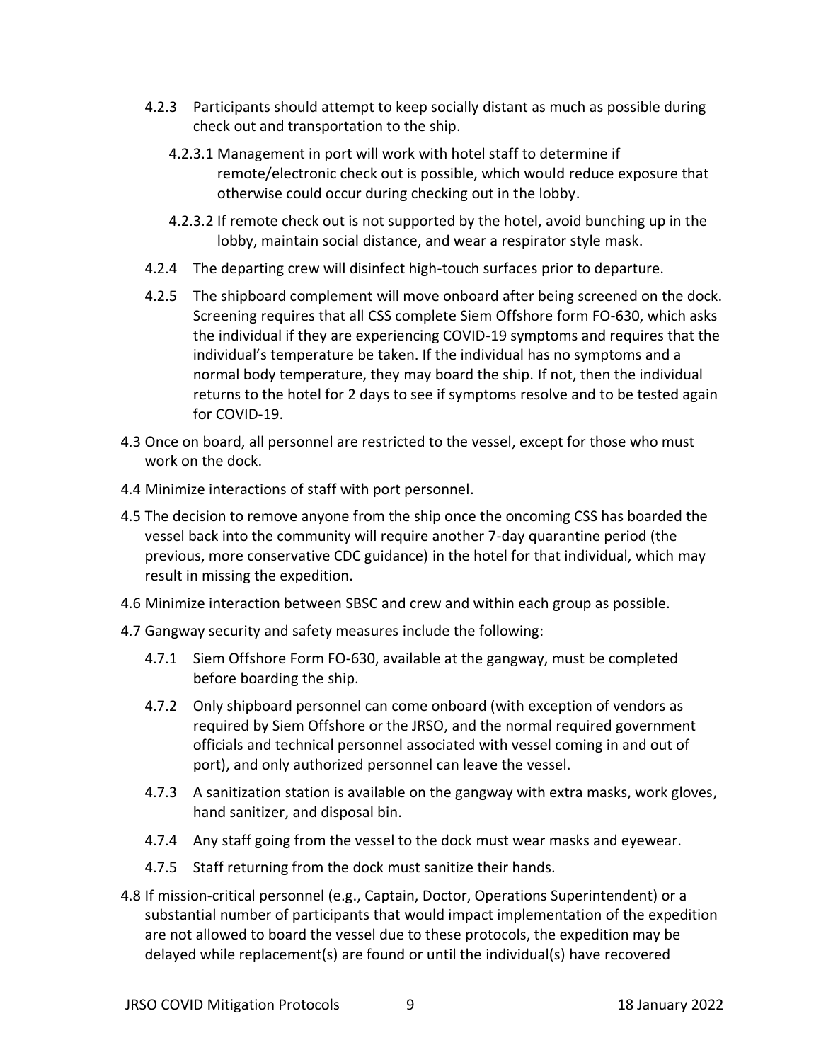- 4.2.3 Participants should attempt to keep socially distant as much as possible during check out and transportation to the ship.
	- 4.2.3.1 Management in port will work with hotel staff to determine if remote/electronic check out is possible, which would reduce exposure that otherwise could occur during checking out in the lobby.
	- 4.2.3.2 If remote check out is not supported by the hotel, avoid bunching up in the lobby, maintain social distance, and wear a respirator style mask.
- 4.2.4 The departing crew will disinfect high-touch surfaces prior to departure.
- 4.2.5 The shipboard complement will move onboard after being screened on the dock. Screening requires that all CSS complete Siem Offshore form FO-630, which asks the individual if they are experiencing COVID-19 symptoms and requires that the individual's temperature be taken. If the individual has no symptoms and a normal body temperature, they may board the ship. If not, then the individual returns to the hotel for 2 days to see if symptoms resolve and to be tested again for COVID-19.
- 4.3 Once on board, all personnel are restricted to the vessel, except for those who must work on the dock.
- 4.4 Minimize interactions of staff with port personnel.
- 4.5 The decision to remove anyone from the ship once the oncoming CSS has boarded the vessel back into the community will require another 7-day quarantine period (the previous, more conservative CDC guidance) in the hotel for that individual, which may result in missing the expedition.
- 4.6 Minimize interaction between SBSC and crew and within each group as possible.
- 4.7 Gangway security and safety measures include the following:
	- 4.7.1 Siem Offshore Form FO-630, available at the gangway, must be completed before boarding the ship.
	- 4.7.2 Only shipboard personnel can come onboard (with exception of vendors as required by Siem Offshore or the JRSO, and the normal required government officials and technical personnel associated with vessel coming in and out of port), and only authorized personnel can leave the vessel.
	- 4.7.3 A sanitization station is available on the gangway with extra masks, work gloves, hand sanitizer, and disposal bin.
	- 4.7.4 Any staff going from the vessel to the dock must wear masks and eyewear.
	- 4.7.5 Staff returning from the dock must sanitize their hands.
- 4.8 If mission-critical personnel (e.g., Captain, Doctor, Operations Superintendent) or a substantial number of participants that would impact implementation of the expedition are not allowed to board the vessel due to these protocols, the expedition may be delayed while replacement(s) are found or until the individual(s) have recovered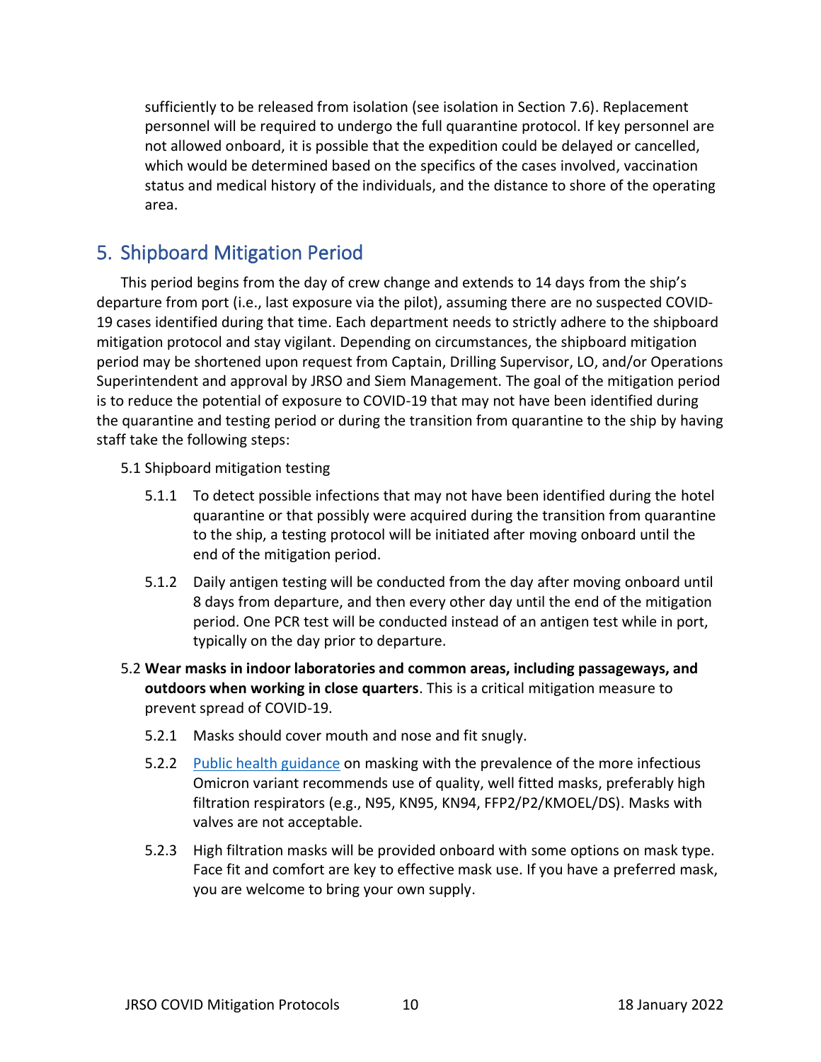sufficiently to be released from isolation (see isolation in Section 7.6). Replacement personnel will be required to undergo the full quarantine protocol. If key personnel are not allowed onboard, it is possible that the expedition could be delayed or cancelled, which would be determined based on the specifics of the cases involved, vaccination status and medical history of the individuals, and the distance to shore of the operating area.

#### <span id="page-9-0"></span>5. Shipboard Mitigation Period

This period begins from the day of crew change and extends to 14 days from the ship's departure from port (i.e., last exposure via the pilot), assuming there are no suspected COVID-19 cases identified during that time. Each department needs to strictly adhere to the shipboard mitigation protocol and stay vigilant. Depending on circumstances, the shipboard mitigation period may be shortened upon request from Captain, Drilling Supervisor, LO, and/or Operations Superintendent and approval by JRSO and Siem Management. The goal of the mitigation period is to reduce the potential of exposure to COVID-19 that may not have been identified during the quarantine and testing period or during the transition from quarantine to the ship by having staff take the following steps:

#### 5.1 Shipboard mitigation testing

- 5.1.1 To detect possible infections that may not have been identified during the hotel quarantine or that possibly were acquired during the transition from quarantine to the ship, a testing protocol will be initiated after moving onboard until the end of the mitigation period.
- 5.1.2 Daily antigen testing will be conducted from the day after moving onboard until 8 days from departure, and then every other day until the end of the mitigation period. One PCR test will be conducted instead of an antigen test while in port, typically on the day prior to departure.
- 5.2 **Wear masks in indoor laboratories and common areas, including passageways, and outdoors when working in close quarters**. This is a critical mitigation measure to prevent spread of COVID-19.
	- 5.2.1 Masks should cover mouth and nose and fit snugly.
	- 5.2.2 [Public health guidance](https://www.cdc.gov/coronavirus/2019-ncov/prevent-getting-sick/types-of-masks.html) on masking with the prevalence of the more infectious Omicron variant recommends use of quality, well fitted masks, preferably high filtration respirators (e.g., N95, KN95, KN94, FFP2/P2/KMOEL/DS). Masks with valves are not acceptable.
	- 5.2.3 High filtration masks will be provided onboard with some options on mask type. Face fit and comfort are key to effective mask use. If you have a preferred mask, you are welcome to bring your own supply.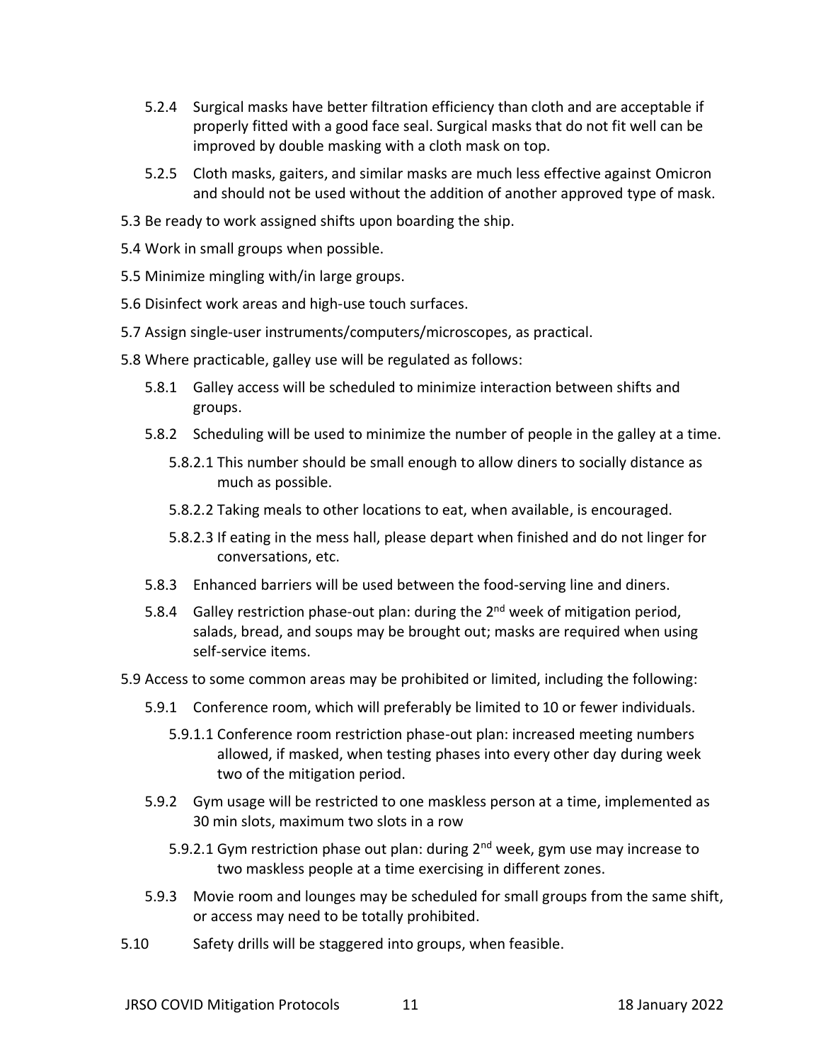- 5.2.4 Surgical masks have better filtration efficiency than cloth and are acceptable if properly fitted with a good face seal. Surgical masks that do not fit well can be improved by double masking with a cloth mask on top.
- 5.2.5 Cloth masks, gaiters, and similar masks are much less effective against Omicron and should not be used without the addition of another approved type of mask.
- 5.3 Be ready to work assigned shifts upon boarding the ship.
- 5.4 Work in small groups when possible.
- 5.5 Minimize mingling with/in large groups.
- 5.6 Disinfect work areas and high-use touch surfaces.
- 5.7 Assign single-user instruments/computers/microscopes, as practical.
- 5.8 Where practicable, galley use will be regulated as follows:
	- 5.8.1 Galley access will be scheduled to minimize interaction between shifts and groups.
	- 5.8.2 Scheduling will be used to minimize the number of people in the galley at a time.
		- 5.8.2.1 This number should be small enough to allow diners to socially distance as much as possible.
		- 5.8.2.2 Taking meals to other locations to eat, when available, is encouraged.
		- 5.8.2.3 If eating in the mess hall, please depart when finished and do not linger for conversations, etc.
	- 5.8.3 Enhanced barriers will be used between the food-serving line and diners.
	- 5.8.4 Galley restriction phase-out plan: during the 2<sup>nd</sup> week of mitigation period, salads, bread, and soups may be brought out; masks are required when using self-service items.
- 5.9 Access to some common areas may be prohibited or limited, including the following:
	- 5.9.1 Conference room, which will preferably be limited to 10 or fewer individuals.
		- 5.9.1.1 Conference room restriction phase-out plan: increased meeting numbers allowed, if masked, when testing phases into every other day during week two of the mitigation period.
	- 5.9.2 Gym usage will be restricted to one maskless person at a time, implemented as 30 min slots, maximum two slots in a row
		- 5.9.2.1 Gym restriction phase out plan: during  $2^{nd}$  week, gym use may increase to two maskless people at a time exercising in different zones.
	- 5.9.3 Movie room and lounges may be scheduled for small groups from the same shift, or access may need to be totally prohibited.
- 5.10 Safety drills will be staggered into groups, when feasible.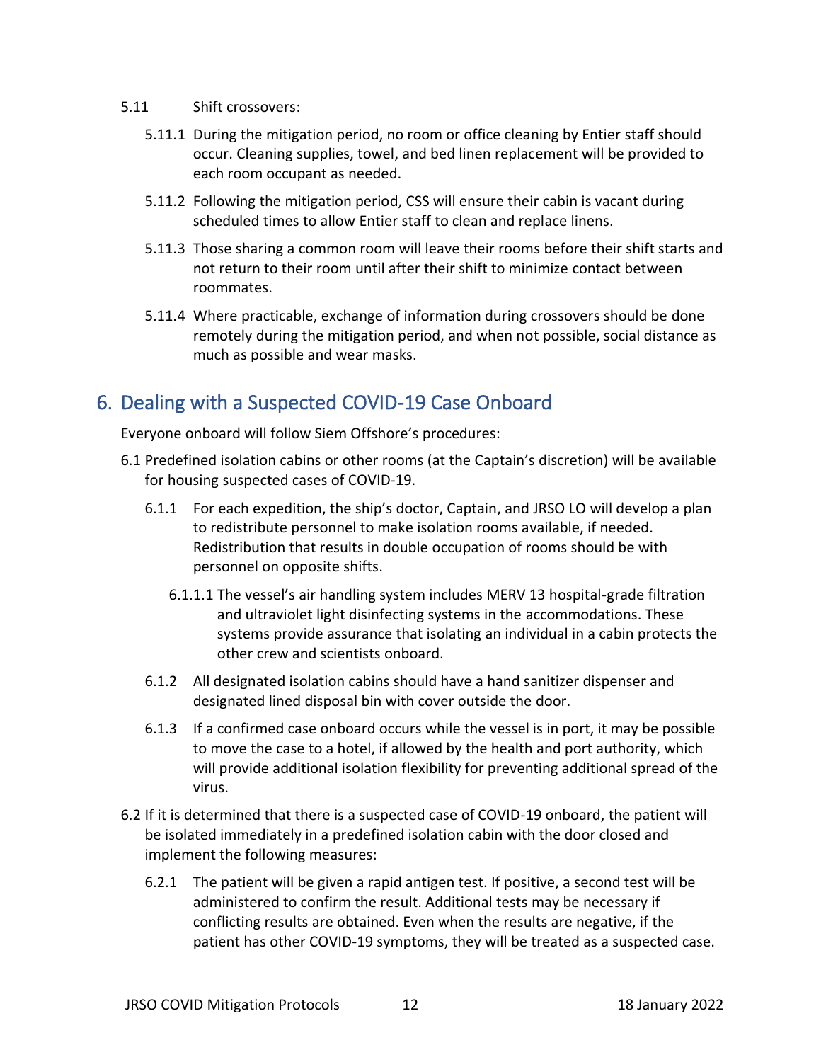- 5.11 Shift crossovers:
	- 5.11.1 During the mitigation period, no room or office cleaning by Entier staff should occur. Cleaning supplies, towel, and bed linen replacement will be provided to each room occupant as needed.
	- 5.11.2 Following the mitigation period, CSS will ensure their cabin is vacant during scheduled times to allow Entier staff to clean and replace linens.
	- 5.11.3 Those sharing a common room will leave their rooms before their shift starts and not return to their room until after their shift to minimize contact between roommates.
	- 5.11.4 Where practicable, exchange of information during crossovers should be done remotely during the mitigation period, and when not possible, social distance as much as possible and wear masks.

# <span id="page-11-0"></span>6. Dealing with a Suspected COVID-19 Case Onboard

Everyone onboard will follow Siem Offshore's procedures:

- 6.1 Predefined isolation cabins or other rooms (at the Captain's discretion) will be available for housing suspected cases of COVID-19.
	- 6.1.1 For each expedition, the ship's doctor, Captain, and JRSO LO will develop a plan to redistribute personnel to make isolation rooms available, if needed. Redistribution that results in double occupation of rooms should be with personnel on opposite shifts.
		- 6.1.1.1 The vessel's air handling system includes MERV 13 hospital-grade filtration and ultraviolet light disinfecting systems in the accommodations. These systems provide assurance that isolating an individual in a cabin protects the other crew and scientists onboard.
	- 6.1.2 All designated isolation cabins should have a hand sanitizer dispenser and designated lined disposal bin with cover outside the door.
	- 6.1.3 If a confirmed case onboard occurs while the vessel is in port, it may be possible to move the case to a hotel, if allowed by the health and port authority, which will provide additional isolation flexibility for preventing additional spread of the virus.
- 6.2 If it is determined that there is a suspected case of COVID-19 onboard, the patient will be isolated immediately in a predefined isolation cabin with the door closed and implement the following measures:
	- 6.2.1 The patient will be given a rapid antigen test. If positive, a second test will be administered to confirm the result. Additional tests may be necessary if conflicting results are obtained. Even when the results are negative, if the patient has other COVID-19 symptoms, they will be treated as a suspected case.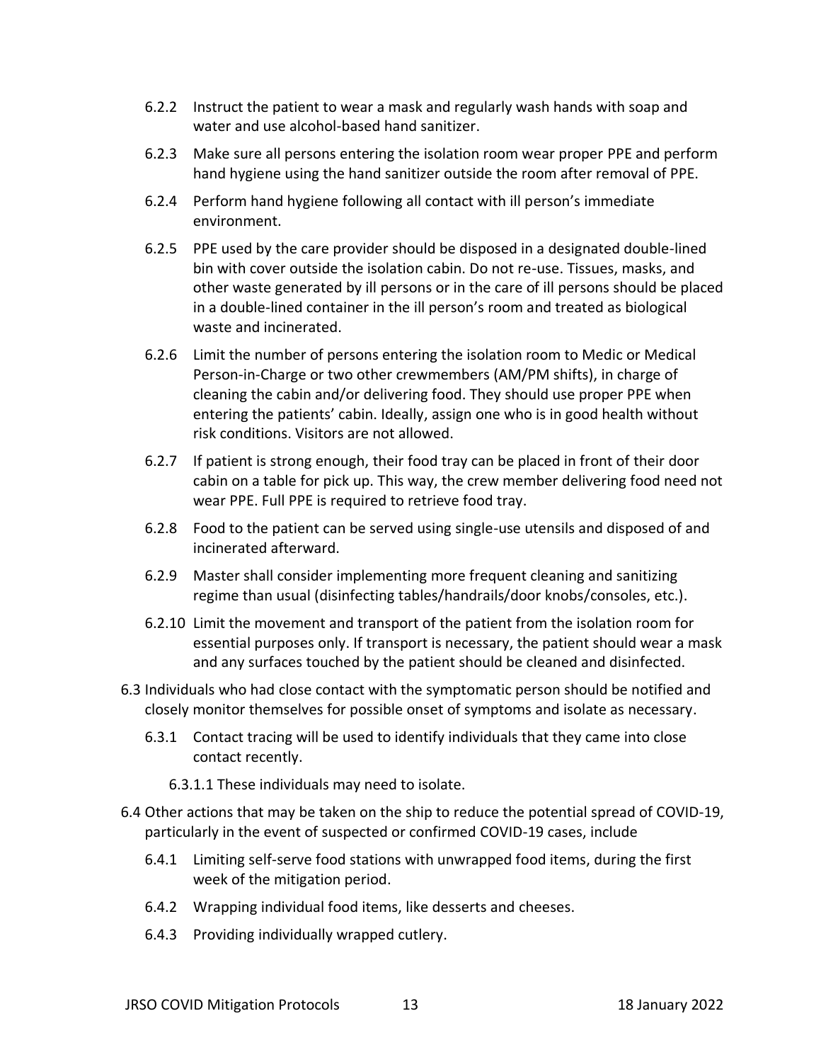- 6.2.2 Instruct the patient to wear a mask and regularly wash hands with soap and water and use alcohol-based hand sanitizer.
- 6.2.3 Make sure all persons entering the isolation room wear proper PPE and perform hand hygiene using the hand sanitizer outside the room after removal of PPE.
- 6.2.4 Perform hand hygiene following all contact with ill person's immediate environment.
- 6.2.5 PPE used by the care provider should be disposed in a designated double-lined bin with cover outside the isolation cabin. Do not re-use. Tissues, masks, and other waste generated by ill persons or in the care of ill persons should be placed in a double-lined container in the ill person's room and treated as biological waste and incinerated.
- 6.2.6 Limit the number of persons entering the isolation room to Medic or Medical Person-in-Charge or two other crewmembers (AM/PM shifts), in charge of cleaning the cabin and/or delivering food. They should use proper PPE when entering the patients' cabin. Ideally, assign one who is in good health without risk conditions. Visitors are not allowed.
- 6.2.7 If patient is strong enough, their food tray can be placed in front of their door cabin on a table for pick up. This way, the crew member delivering food need not wear PPE. Full PPE is required to retrieve food tray.
- 6.2.8 Food to the patient can be served using single-use utensils and disposed of and incinerated afterward.
- 6.2.9 Master shall consider implementing more frequent cleaning and sanitizing regime than usual (disinfecting tables/handrails/door knobs/consoles, etc.).
- 6.2.10 Limit the movement and transport of the patient from the isolation room for essential purposes only. If transport is necessary, the patient should wear a mask and any surfaces touched by the patient should be cleaned and disinfected.
- 6.3 Individuals who had close contact with the symptomatic person should be notified and closely monitor themselves for possible onset of symptoms and isolate as necessary.
	- 6.3.1 Contact tracing will be used to identify individuals that they came into close contact recently.
		- 6.3.1.1 These individuals may need to isolate.
- 6.4 Other actions that may be taken on the ship to reduce the potential spread of COVID-19, particularly in the event of suspected or confirmed COVID-19 cases, include
	- 6.4.1 Limiting self-serve food stations with unwrapped food items, during the first week of the mitigation period.
	- 6.4.2 Wrapping individual food items, like desserts and cheeses.
	- 6.4.3 Providing individually wrapped cutlery.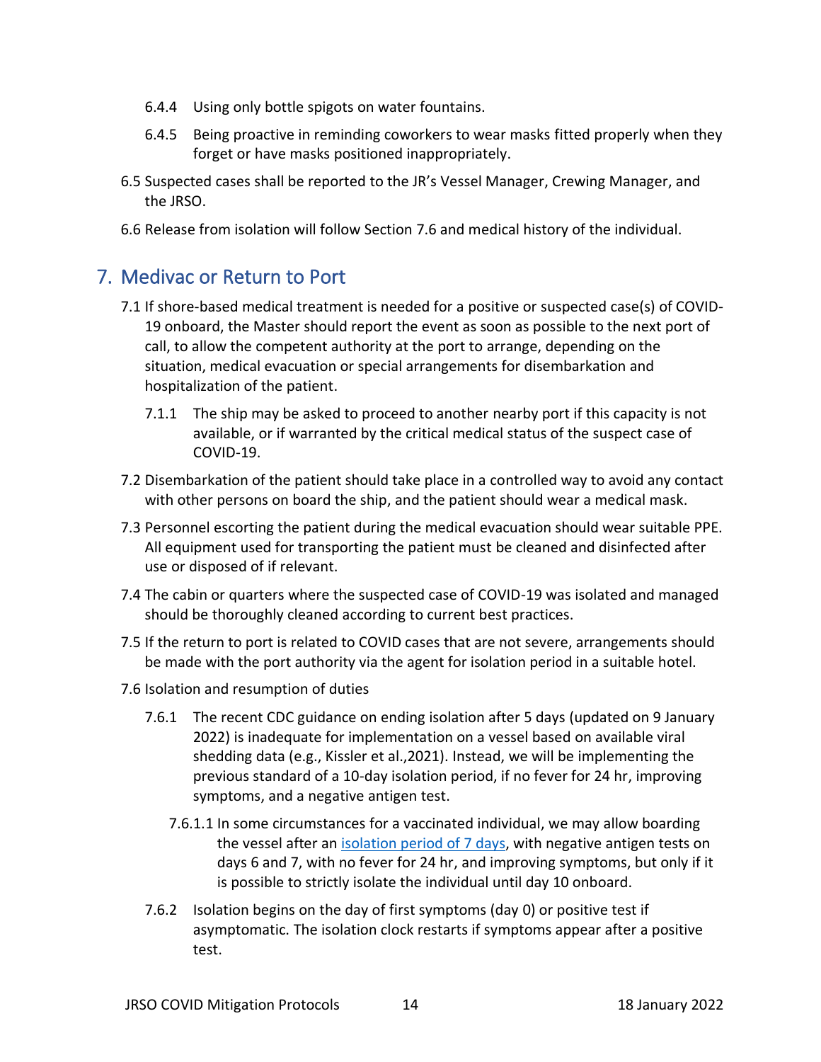- 6.4.4 Using only bottle spigots on water fountains.
- 6.4.5 Being proactive in reminding coworkers to wear masks fitted properly when they forget or have masks positioned inappropriately.
- 6.5 Suspected cases shall be reported to the JR's Vessel Manager, Crewing Manager, and the JRSO.
- 6.6 Release from isolation will follow Section 7.6 and medical history of the individual.

#### <span id="page-13-0"></span>7. Medivac or Return to Port

- 7.1 If shore-based medical treatment is needed for a positive or suspected case(s) of COVID-19 onboard, the Master should report the event as soon as possible to the next port of call, to allow the competent authority at the port to arrange, depending on the situation, medical evacuation or special arrangements for disembarkation and hospitalization of the patient.
	- 7.1.1 The ship may be asked to proceed to another nearby port if this capacity is not available, or if warranted by the critical medical status of the suspect case of COVID-19.
- 7.2 Disembarkation of the patient should take place in a controlled way to avoid any contact with other persons on board the ship, and the patient should wear a medical mask.
- 7.3 Personnel escorting the patient during the medical evacuation should wear suitable PPE. All equipment used for transporting the patient must be cleaned and disinfected after use or disposed of if relevant.
- 7.4 The cabin or quarters where the suspected case of COVID-19 was isolated and managed should be thoroughly cleaned according to current best practices.
- 7.5 If the return to port is related to COVID cases that are not severe, arrangements should be made with the port authority via the agent for isolation period in a suitable hotel.
- 7.6 Isolation and resumption of duties
	- 7.6.1 The recent CDC guidance on ending isolation after 5 days (updated on 9 January 2022) is inadequate for implementation on a vessel based on available viral shedding data (e.g., Kissler et al.,2021). Instead, we will be implementing the previous standard of a 10-day isolation period, if no fever for 24 hr, improving symptoms, and a negative antigen test.
		- 7.6.1.1 In some circumstances for a vaccinated individual, we may allow boarding the vessel after an [isolation period of 7](https://www.gov.uk/government/news/self-isolation-for-covid-19-cases-reduced-from-10-to-7-days-following-negative-lfd-tests) days, with negative antigen tests on days 6 and 7, with no fever for 24 hr, and improving symptoms, but only if it is possible to strictly isolate the individual until day 10 onboard.
	- 7.6.2 Isolation begins on the day of first symptoms (day 0) or positive test if asymptomatic. The isolation clock restarts if symptoms appear after a positive test.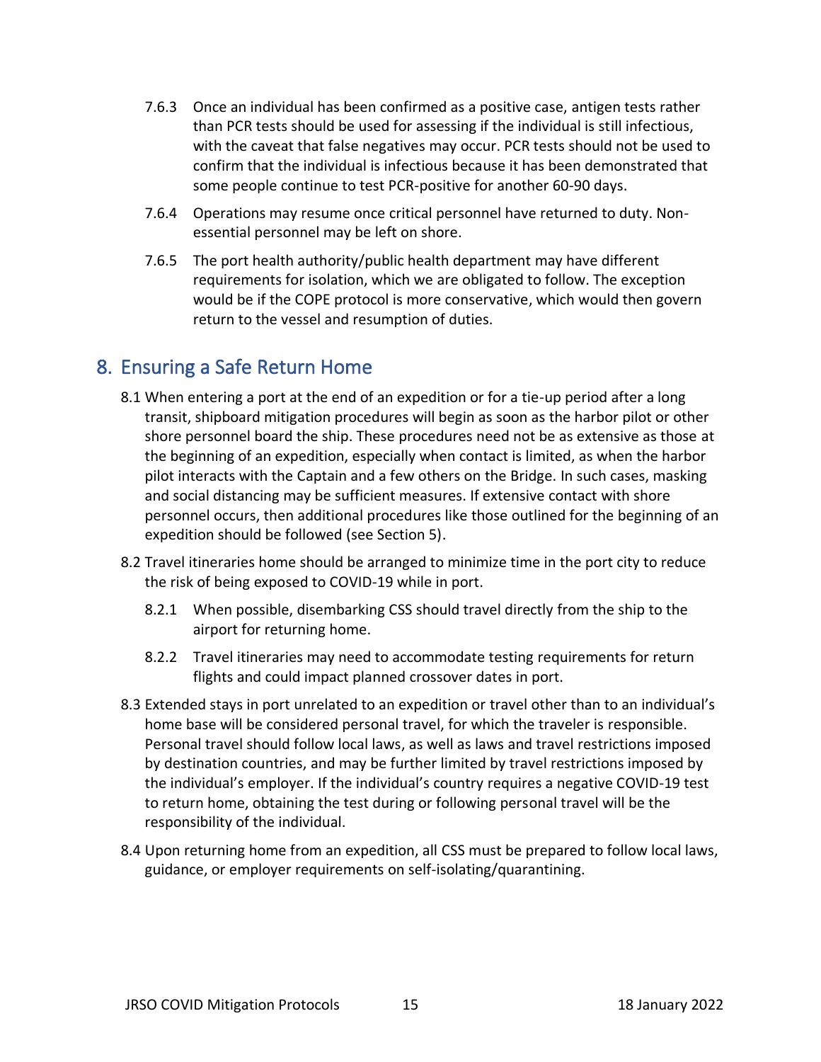- 7.6.3 Once an individual has been confirmed as a positive case, antigen tests rather than PCR tests should be used for assessing if the individual is still infectious, with the caveat that false negatives may occur. PCR tests should not be used to confirm that the individual is infectious because it has been demonstrated that some people continue to test PCR-positive for another 60-90 days.
- 7.6.4 Operations may resume once critical personnel have returned to duty. Nonessential personnel may be left on shore.
- 7.6.5 The port health authority/public health department may have different requirements for isolation, which we are obligated to follow. The exception would be if the COPE protocol is more conservative, which would then govern return to the vessel and resumption of duties.

#### <span id="page-14-0"></span>8. Ensuring a Safe Return Home

- 8.1 When entering a port at the end of an expedition or for a tie-up period after a long transit, shipboard mitigation procedures will begin as soon as the harbor pilot or other shore personnel board the ship. These procedures need not be as extensive as those at the beginning of an expedition, especially when contact is limited, as when the harbor pilot interacts with the Captain and a few others on the Bridge. In such cases, masking and social distancing may be sufficient measures. If extensive contact with shore personnel occurs, then additional procedures like those outlined for the beginning of an expedition should be followed (see Section 5).
- 8.2 Travel itineraries home should be arranged to minimize time in the port city to reduce the risk of being exposed to COVID-19 while in port.
	- 8.2.1 When possible, disembarking CSS should travel directly from the ship to the airport for returning home.
	- 8.2.2 Travel itineraries may need to accommodate testing requirements for return flights and could impact planned crossover dates in port.
- 8.3 Extended stays in port unrelated to an expedition or travel other than to an individual's home base will be considered personal travel, for which the traveler is responsible. Personal travel should follow local laws, as well as laws and travel restrictions imposed by destination countries, and may be further limited by travel restrictions imposed by the individual's employer. If the individual's country requires a negative COVID-19 test to return home, obtaining the test during or following personal travel will be the responsibility of the individual.
- 8.4 Upon returning home from an expedition, all CSS must be prepared to follow local laws, guidance, or employer requirements on self-isolating/quarantining.